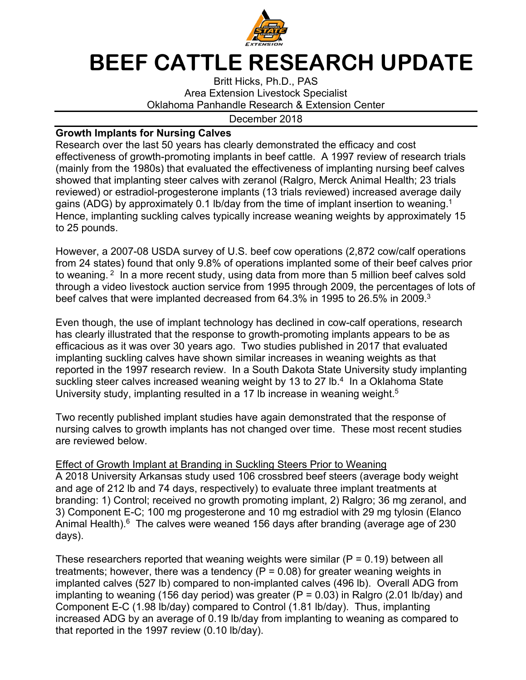

## **BEEF CATTLE RESEARCH UPDATE**

Britt Hicks, Ph.D., PAS Area Extension Livestock Specialist Oklahoma Panhandle Research & Extension Center

## December 2018

## **Growth Implants for Nursing Calves**

Research over the last 50 years has clearly demonstrated the efficacy and cost effectiveness of growth-promoting implants in beef cattle. A 1997 review of research trials (mainly from the 1980s) that evaluated the effectiveness of implanting nursing beef calves showed that implanting steer calves with zeranol (Ralgro, Merck Animal Health; 23 trials reviewed) or estradiol-progesterone implants (13 trials reviewed) increased average daily gains (ADG) by approximately 0.1 lb/day from the time of implant insertion to weaning.<sup>1</sup> Hence, implanting suckling calves typically increase weaning weights by approximately 15 to 25 pounds.

However, a 2007-08 USDA survey of U.S. beef cow operations (2,872 cow/calf operations from 24 states) found that only 9.8% of operations implanted some of their beef calves prior to weaning. <sup>2</sup> In a more recent study, using data from more than 5 million beef calves sold through a video livestock auction service from 1995 through 2009, the percentages of lots of beef calves that were implanted decreased from 64.3% in 1995 to 26.5% in 2009.3

Even though, the use of implant technology has declined in cow-calf operations, research has clearly illustrated that the response to growth-promoting implants appears to be as efficacious as it was over 30 years ago. Two studies published in 2017 that evaluated implanting suckling calves have shown similar increases in weaning weights as that reported in the 1997 research review. In a South Dakota State University study implanting suckling steer calves increased weaning weight by 13 to 27 lb.<sup>4</sup> In a Oklahoma State University study, implanting resulted in a 17 lb increase in weaning weight.<sup>5</sup>

Two recently published implant studies have again demonstrated that the response of nursing calves to growth implants has not changed over time. These most recent studies are reviewed below.

## Effect of Growth Implant at Branding in Suckling Steers Prior to Weaning

A 2018 University Arkansas study used 106 crossbred beef steers (average body weight and age of 212 lb and 74 days, respectively) to evaluate three implant treatments at branding: 1) Control; received no growth promoting implant, 2) Ralgro; 36 mg zeranol, and 3) Component E-C; 100 mg progesterone and 10 mg estradiol with 29 mg tylosin (Elanco Animal Health). $6$  The calves were weaned 156 days after branding (average age of 230 days).

These researchers reported that weaning weights were similar ( $P = 0.19$ ) between all treatments; however, there was a tendency ( $P = 0.08$ ) for greater weaning weights in implanted calves (527 lb) compared to non-implanted calves (496 lb). Overall ADG from implanting to weaning (156 day period) was greater ( $P = 0.03$ ) in Ralgro (2.01 lb/day) and Component E-C (1.98 lb/day) compared to Control (1.81 lb/day). Thus, implanting increased ADG by an average of 0.19 lb/day from implanting to weaning as compared to that reported in the 1997 review (0.10 lb/day).